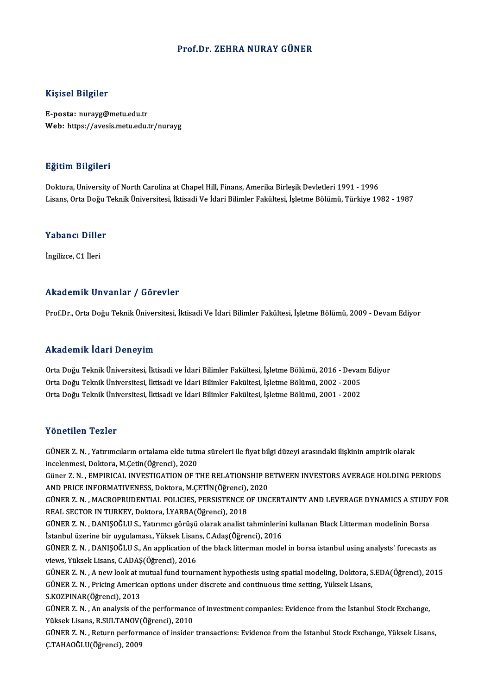#### Prof.Dr. ZEHRA NURAY GÜNER

#### Kişisel Bilgiler

E-posta: nurayg@metu.edu.tr Web: https://avesis.metu.edu.tr/nurayg

#### Eğitim Bilgileri

Doktora, University of North Carolina at Chapel Hill, Finans, Amerika Birleşik Devletleri 1991 - 1996 Lisans, Orta Doğu Teknik Üniversitesi, İktisadi Ve İdari Bilimler Fakültesi, İşletme Bölümü, Türkiye 1982 - 1987

## Lisans, orta bogu<br>Yabancı Diller Y<mark>abancı Dille</mark><br>İngilizce, C1 İleri

## Akademik Unvanlar / Görevler

Prof.Dr., Orta Doğu Teknik Üniversitesi, İktisadi Ve İdari Bilimler Fakültesi, İşletme Bölümü, 2009 - Devam Ediyor

#### Akademik İdari Deneyim

Akademik İdari Deneyim<br>Orta Doğu Teknik Üniversitesi, İktisadi ve İdari Bilimler Fakültesi, İşletme Bölümü, 2016 - Devam Ediyor<br>Orta Doğu Teknik Üniversitesi, İktisadi ve İdari Bilimler Fakültesi, İşletme Bölümü, 2002, 200 orta Doğu Teknik Üniversitesi, İktisadi ve İdari Bilimler Fakültesi, İşletme Bölümü, 2016 - Devan<br>Orta Doğu Teknik Üniversitesi, İktisadi ve İdari Bilimler Fakültesi, İşletme Bölümü, 2002 - 2005<br>Orta Doğu Teknik Üniversite Orta Doğu Teknik Üniversitesi, İktisadi ve İdari Bilimler Fakültesi, İşletme Bölümü, 2016 - Devan<br>Orta Doğu Teknik Üniversitesi, İktisadi ve İdari Bilimler Fakültesi, İşletme Bölümü, 2002 - 2005<br>Orta Doğu Teknik Üniversite Orta Doğu Teknik Üniversitesi, İktisadi ve İdari Bilimler Fakültesi, İşletme Bölümü, 2001 - 2002<br>Yönetilen Tezler

Yönetilen Tezler<br>GÜNER Z. N. , Yatırımcıların ortalama elde tutma süreleri ile fiyat bilgi düzeyi arasındaki ilişkinin ampirik olarak<br>İnselenmesi, Deltera *M Ce*tin(Öğrensi), 2020 1 SILSENSI 1 SILSI<br>GÜNER Z. N. , Yatırımcıların ortalama elde tutn<br>incelenmesi, Doktora, M.Çetin(Öğrenci), 2020<br>Güner Z. N. , EMBIRICAL INVESTICATION OF T GÜNER Z. N. , Yatırımcıların ortalama elde tutma süreleri ile fiyat bilgi düzeyi arasındaki ilişkinin ampirik olarak<br>incelenmesi, Doktora, M.Çetin(Öğrenci), 2020<br>Güner Z. N. , EMPIRICAL INVESTIGATION OF THE RELATIONSHIP BE incelenmesi, Doktora, M.Çetin(Öğrenci), 2020<br>Güner Z. N. , EMPIRICAL INVESTIGATION OF THE RELATIONSHIP B<br>AND PRICE INFORMATIVENESS, Doktora, M.ÇETİN(Öğrenci), 2020<br>CÜNER Z. N. , MACROPPUDENTIAL POLICIES, PERSISTENCE OF UNG Güner Z. N. , EMPIRICAL INVESTIGATION OF THE RELATIONSHIP BETWEEN INVESTORS AVERAGE HOLDING PERIODS<br>AND PRICE INFORMATIVENESS, Doktora, M.ÇETİN(Öğrenci), 2020<br>GÜNER Z. N. , MACROPRUDENTIAL POLICIES, PERSISTENCE OF UNCERTAI AND PRICE INFORMATIVENESS, Doktora, M.ÇETİN(Öğrenci),<br>GÜNER Z. N. , MACROPRUDENTIAL POLICIES, PERSISTENCE C<br>REAL SECTOR IN TURKEY, Doktora, İ.YARBA(Öğrenci), 2018<br>CÜNER Z. N. DANISOČLU S. Vatruncı görüsü olarak analist t GÜNER Z. N. , MACROPRUDENTIAL POLICIES, PERSISTENCE OF UNCERTAINTY AND LEVERAGE DYNAMICS A STUDY<br>REAL SECTOR IN TURKEY, Doktora, İ.YARBA(Öğrenci), 2018<br>GÜNER Z. N. , DANIŞOĞLU S., Yatırımcı görüşü olarak analist tahminleri REAL SECTOR IN TURKEY, Doktora, İ.YARBA(Öğrenci), 2018<br>GÜNER Z. N. , DANIŞOĞLU S., Yatırımcı görüşü olarak analist tahminlerin<br>İstanbul üzerine bir uygulaması., Yüksek Lisans, C.Adaş(Öğrenci), 2016<br>CÜNER Z. N. DANISOĞLU S. GÜNER Z. N. , DANIŞOĞLU S., Yatırımcı görüşü olarak analist tahminlerini kullanan Black Litterman modelinin Borsa<br>İstanbul üzerine bir uygulaması., Yüksek Lisans, C.Adaş(Öğrenci), 2016<br>GÜNER Z. N. , DANIŞOĞLU S., An applic İstanbul üzerine bir uygulaması., Yüksek Lisan<br>GÜNER Z. N. , DANIŞOĞLU S., An application of<br>views, Yüksek Lisans, C.ADAŞ(Öğrenci), 2016<br>CÜNEP Z. N. , A now look at mutual fund tourr GÜNER Z. N. , DANIŞOĞLU S., An application of the black litterman model in borsa istanbul using analysts' forecasts as<br>views, Yüksek Lisans, C.ADAŞ(Öğrenci), 2016<br>GÜNER Z. N. , A new look at mutual fund tournament hypothes views, Yüksek Lisans, C.ADAŞ(Öğrenci), 2016<br>GÜNER Z. N. , A new look at mutual fund tournament hypothesis using spatial modeling, Doktora, S<br>GÜNER Z. N. , Pricing American options under discrete and continuous time setting GÜNER Z. N., Pricing American options under discrete and continuous time setting, Yüksek Lisans, S.KOZPINAR(Öğrenci), 2013 GÜNER Z. N. , Pricing American options under discrete and continuous time setting, Yüksek Lisans,<br>S.KOZPINAR(Öğrenci), 2013<br>GÜNER Z. N. , An analysis of the performance of investment companies: Evidence from the İstanbul S S.KOZPINAR(Öğrenci), 2013<br>GÜNER Z. N. , An analysis of the performance<br>Yüksek Lisans, R.SULTANOV(Öğrenci), 2010<br>CÜNER Z. N. , Beturn performance of insider Yüksek Lisans, R.SULTANOV(Öğrenci), 2010<br>GÜNER Z. N. , Return performance of insider transactions: Evidence from the Istanbul Stock Exchange, Yüksek Lisans, Ç.TAHAOĞLU(Öğrenci),2009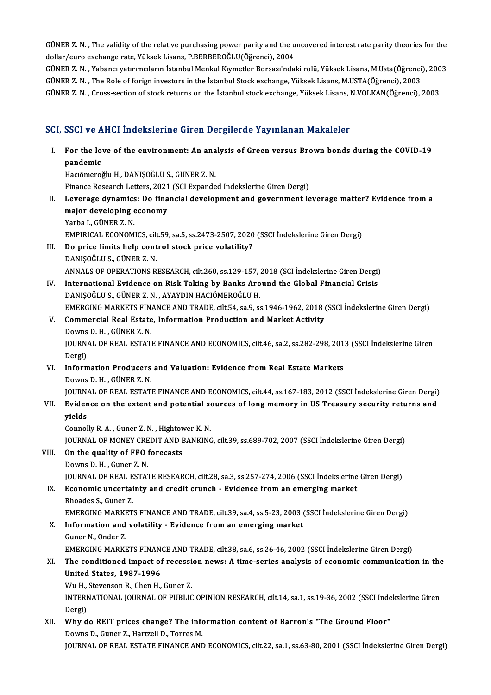GÜNER Z. N. , The validity of the relative purchasing power parity and the uncovered interest rate parity theories for the<br>dellar/eure exchange rate Vülreck Lisans. P REPREROČLU(Öğrengi), 2004 GÜNER Z. N. , The validity of the relative purchasing power parity and the u<br>dollar/euro exchange rate, Yüksek Lisans, P.BERBEROĞLU(Öğrenci), 2004<br>GÜNER Z. N. , Yahang vatırımgların İstanbul Manlul Kumatlar Borssa'nda GÜNER Z. N. , The validity of the relative purchasing power parity and the uncovered interest rate parity theories for the<br>dollar/euro exchange rate, Yüksek Lisans, P.BERBEROĞLU(Öğrenci), 2004<br>GÜNER Z. N. , Yabancı yatırım

dollar/euro exchange rate, Yüksek Lisans, P.BERBEROĞLU(Öğrenci), 2004<br>GÜNER Z. N. , Yabancı yatırımcıların İstanbul Menkul Kıymetler Borsası'ndaki rolü, Yüksek Lisans, M.Usta(Öğrenci), 2003<br>GÜNER Z. N. , The Role of forign GÜNER Z.N., Cross-section of stock returns on the İstanbul stock exchange, Yüksek Lisans, N.VOLKAN(Öğrenci), 2003

### SCI, SSCI ve AHCI İndekslerine Giren Dergilerde Yayınlanan Makaleler

I. SSCI ve AHCI İndekslerine Giren Dergilerde Yayınlanan Makaleler<br>I. For the love of the environment: An analysis of Green versus Brown bonds during the COVID-19<br>Randamis pact von<br>For the lo<br>pandemic<br>Hagëmere pandemic<br>Hacıömeroğlu H., DANIŞOĞLU S., GÜNER Z. N. pandemic<br>Hacıömeroğlu H., DANIŞOĞLU S., GÜNER Z. N.<br>Finance Research Letters, 2021 (SCI Expanded İndekslerine Giren Dergi)<br>Lavenage dunamiss: De financial develenment and gevennment le II. Leverage dynamics: Do financial development and government leverage matter? Evidence from a major developing economy Finance Research Letters, 2021<br>Leverage dynamics: Do fina<br>major developing economy<br><sup>Vorbo L. CÜNER 7 N</sup> Yarba I., GÜNER Z.N. major developing economy<br>Yarba I., GÜNER Z. N.<br>EMPIRICAL ECONOMICS, cilt.59, sa.5, ss.2473-2507, 2020 (SSCI İndekslerine Giren Dergi)<br>De prise limite belp sentrel steek prise veletility? III. Do price limits help control stock price volatility?<br>DANISOĞLU S., GÜNER Z. N. EMPIRICAL ECONOMICS, cil<mark>t</mark><br>Do price limits help cont<br>DANIŞOĞLU S., GÜNER Z. N.<br>ANNALS OF OPERATIONS B ANNALS OF OPERATIONS RESEARCH, cilt.260, ss.129-157, 2018 (SCI İndekslerine Giren Dergi) IV. International Evidence on Risk Taking by Banks Around the Global Financial Crisis DANIŞOĞLU S., GÜNER Z. N., AYAYDIN HACIÖMEROĞLU H. EMERGING MARKETS FINANCE AND TRADE, cilt.54, sa.9, ss.1946-1962, 2018 (SSCI İndekslerine Giren Dergi) DANIȘOĞLU S., GÜNER Z. N. , AYAYDIN HACIÖMEROĞLU H.<br>EMERGING MARKETS FINANCE AND TRADE, cilt.54, sa.9, ss.1946-1962, 2018 (<br>V. Commercial Real Estate, Information Production and Market Activity<br>Doume D. H. CÜNEP 7. N EMERGING MARKETS FIN.<br>Commercial Real Estate<br>Downs D. H. , GÜNER Z. N.<br>JOUPNAL OF PEAL ESTATI Commercial Real Estate, Information Production and Market Activity<br>Downs D. H. , GÜNER Z. N.<br>JOURNAL OF REAL ESTATE FINANCE AND ECONOMICS, cilt.46, sa.2, ss.282-298, 2013 (SSCI İndekslerine Giren<br>Persi) Downs<br>JOURN<br>Dergi)<br>Inform JOURNAL OF REAL ESTATE FINANCE AND ECONOMICS, cilt.46, sa.2, ss.282-298, 201<br>Dergi)<br>VI. Information Producers and Valuation: Evidence from Real Estate Markets<br>Douma D. H. CÜNER 7 M Dergi)<br>VI. Information Producers and Valuation: Evidence from Real Estate Markets<br>Downs D. H., GÜNER Z. N. Information Producers and Valuation: Evidence from Real Estate Markets<br>Downs D. H. , GÜNER Z. N.<br>JOURNAL OF REAL ESTATE FINANCE AND ECONOMICS, cilt.44, ss.167-183, 2012 (SSCI İndekslerine Giren Dergi)<br>Evidence en the evten Downs D. H. , GÜNER Z. N.<br>JOURNAL OF REAL ESTATE FINANCE AND ECONOMICS, cilt.44, ss.167-183, 2012 (SSCI İndekslerine Giren Dergi)<br>VII. Evidence on the extent and potential sources of long memory in US Treasury security JOURN<br><mark>Evider</mark><br>yields<br><sup>Connol</sup> VII. Evidence on the extent and potential sources of long memory in US Treasury security returns and<br>yields<br>Connolly R. A. , Guner Z. N. , Hightower K. N. JOURNAL OF MONEY CREDIT AND BANKING, cilt.39, ss.689-702, 2007 (SSCI İndekslerine Giren Dergi) VIII. On the quality of FFO forecasts DownsD.H. ,Guner Z.N. On the quality of FFO forecasts<br>Downs D. H. , Guner Z. N.<br>JOURNAL OF REAL ESTATE RESEARCH, cilt.28, sa.3, ss.257-274, 2006 (SSCI İndekslerine Giren Dergi)<br>Feonomis uncertainty and sredit srunsh.....Fuidance from an emergin IX. Economic uncertainty and credit crunch - Evidence from an emerging market Rhoades S. Guner Z. **JOURNAL OF REAL E<br>Economic uncertai<br>Rhoades S., Guner Z.<br>EMERCINC MARKET** Economic uncertainty and credit crunch - Evidence from an emerging market<br>Rhoades S., Guner Z.<br>EMERGING MARKETS FINANCE AND TRADE, cilt.39, sa.4, ss.5-23, 2003 (SSCI İndekslerine Giren Dergi)<br>Information and velatility. Ev Rhoades S., Guner Z.<br>EMERGING MARKETS FINANCE AND TRADE, cilt.39, sa.4, ss.5-23, 2003 (<br>X. Information and volatility - Evidence from an emerging market<br>Cuner N. Order Z. EMERGING MARKE<br>Information and<br>Guner N., Onder Z.<br>EMERCINC MARKE K. Information and volatility - Evidence from an emerging market<br>Guner N., Onder Z.<br>EMERGING MARKETS FINANCE AND TRADE, cilt.38, sa.6, ss.26-46, 2002 (SSCI İndekslerine Giren Dergi) Guner N., Onder Z.<br>EMERGING MARKETS FINANCE AND TRADE, cilt.38, sa.6, ss.26-46, 2002 (SSCI İndekslerine Giren Dergi)<br>XI. The conditioned impact of recession news: A time-series analysis of economic communication in the<br>Uni EMERGING MARKETS FINAN<br>The conditioned impact of<br>United States, 1987-1996<br>Wu H. Stavenson B. Chan H. The conditioned impact of recessi<br>United States, 1987-1996<br>Wu H., Stevenson R., Chen H., Guner Z.<br>INTERNATIONAL JOURNAL OF BURLIC United States, 1987-1996<br>Wu H., Stevenson R., Chen H., Guner Z.<br>INTERNATIONAL JOURNAL OF PUBLIC OPINION RESEARCH, cilt.14, sa.1, ss.19-36, 2002 (SSCI İndekslerine Giren Wu H.,<br>INTERI<br>Dergi)<br>Why d INTERNATIONAL JOURNAL OF PUBLIC OPINION RESEARCH, cilt.14, sa.1, ss.19-36, 2002 (SSCI inde<br>Dergi)<br>XII. Why do REIT prices change? The information content of Barron's "The Ground Floor"<br>Devine D. Cuper 7, Hertrell D. Terree Dergi)<br>Why do REIT prices change? The info<br>Downs D., Guner Z., Hartzell D., Torres M.<br>JOUPNAL OF PEAL FSTATE FINANCE AND Downs D., Guner Z., Hartzell D., Torres M.<br>JOURNAL OF REAL ESTATE FINANCE AND ECONOMICS, cilt.22, sa.1, ss.63-80, 2001 (SSCI İndekslerine Giren Dergi)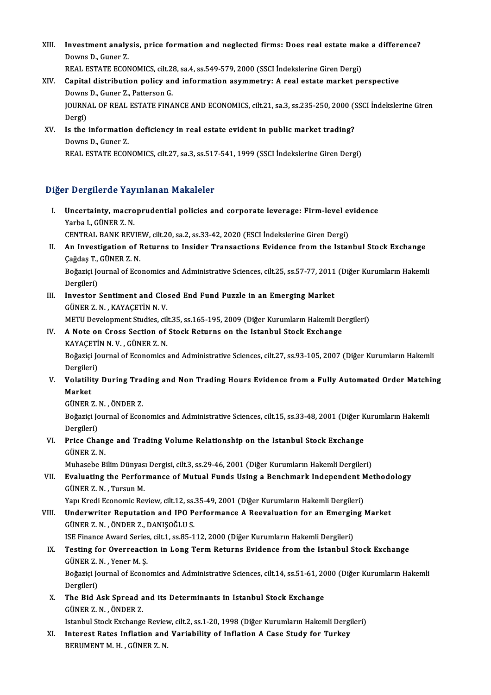- XIII. Investment analysis, price formation and neglected firms: Does real estate make a difference?<br>Doume D. Guner 7 **Investment analy<br>Downs D., Guner Z.<br>PEAL ESTATE ECON** Investment analysis, price formation and neglected firms: Does real estate mak<br>Downs D., Guner Z.<br>REAL ESTATE ECONOMICS, cilt.28, sa.4, ss.549-579, 2000 (SSCI İndekslerine Giren Dergi)<br>Conital distribution nolisy and infor Downs D., Guner Z.<br>REAL ESTATE ECONOMICS, cilt.28, sa.4, ss.549-579, 2000 (SSCI Indekslerine Giren Dergi)<br>XIV. Capital distribution policy and information asymmetry: A real estate market perspective REAL ESTATE ECONOMICS, cilt.28, sa.4, ss.549-579, 2000 (SSCI Indekslerine Giren Dergi)
- JOURNAL OF REAL ESTATE FINANCE AND ECONOMICS, cilt.21, sa.3, ss.235-250, 2000 (SSCI İndekslerine Giren<br>Dergi) Downs D., Guner Z., Patterson G. JOURNAL OF REAL ESTATE FINANCE AND ECONOMICS, cilt.21, sa.3, ss.235-250, 2000 (S.<br>Dergi)<br>XV. Is the information deficiency in real estate evident in public market trading?<br>Deume D. Cuner 7
- Dergi)<br>I<mark>s the informatio</mark><br>Downs D., Guner Z.<br>PEAL ESTATE ECON Downs D., Guner Z.<br>REAL ESTATE ECONOMICS, cilt.27, sa.3, ss.517-541, 1999 (SSCI İndekslerine Giren Dergi)

#### Diğer Dergilerde Yayınlanan Makaleler

Iger Dergilerde Yayınlanan Makaleler<br>I. Uncertainty, macroprudential policies and corporate leverage: Firm-level evidence<br>Yarba L. CÜNER Z. N Yarba I., Günerad I.<br>Vincertainty, macro<br>Yarba I., GÜNER Z. N.<br>CENTRAL BANK BEV Uncertainty, macroprudential policies and corporate leverage: Firm-level evantial (1998)<br>Tarba L, GÜNER Z. N.<br>CENTRAL BANK REVIEW, cilt.20, sa.2, ss.33-42, 2020 (ESCI İndekslerine Giren Dergi)<br>An Investigation of Betunne t

- Yarba I., GÜNER Z. N.<br>CENTRAL BANK REVIEW, cilt.20, sa.2, ss.33-42, 2020 (ESCI İndekslerine Giren Dergi)<br>II. An Investigation of Returns to Insider Transactions Evidence from the Istanbul Stock Exchange<br>Coždes T. CÜNER CENTRAL BANK REVIE<br>An Investigation of I<br>Çağdaş T., GÜNER Z. N.<br>Požerici Journal of Eso An Investigation of Returns to Insider Transactions Evidence from the Istanbul Stock Exchange<br>Çağdaş T., GÜNER Z. N.<br>Boğaziçi Journal of Economics and Administrative Sciences, cilt.25, ss.57-77, 2011 (Diğer Kurumların Hake Çağdaş T., GÜNER Z. N.<br>Boğaziçi Journal of Economics and Administrative Sciences, cilt.25, ss.57-77, 2011 (Diğer Kurumların Hakemli<br>Dergileri)
- Boğaziçi Journal of Economics and Administrative Sciences, cilt.25, ss.57-77, 2011<br>Dergileri)<br>III. Investor Sentiment and Closed End Fund Puzzle in an Emerging Market<br>CÜNEP 7 N. KAVACETIN N.V. Dergileri)<br>Investor Sentiment and Clo:<br>GÜNER Z. N. , KAYAÇETİN N. V.<br>METU Develenment Studies, sil Investor Sentiment and Closed End Fund Puzzle in an Emerging Market<br>GÜNER Z. N. , KAYAÇETİN N. V.<br>METU Development Studies, cilt.35, ss.165-195, 2009 (Diğer Kurumların Hakemli Dergileri)<br>A Note en Cress Sestien of Steek Be GÜNER Z. N., KAYAÇETİN N. V.<br>METU Development Studies, cilt.35, ss.165-195, 2009 (Diğer Kurumların Hakemli De<br>IV. A Note on Cross Section of Stock Returns on the Istanbul Stock Exchange<br>KAYACETİN N. V. CÜNER Z. N

METU Development Studies, cil<br>A Note on Cross Section of<br>KAYAÇETİN N. V. , GÜNER Z. N.<br>Poğagici Journal of Economics KAYACETİN N V , GÜNER Z N

Boğaziçi Journal of Economics and Administrative Sciences, cilt.27, ss.93-105, 2007 (Diğer Kurumların Hakemli<br>Dergileri) Boğaziçi Journal of Economics and Administrative Sciences, cilt.27, ss.93-105, 2007 (Diğer Kurumların Hakemli<br>Dergileri)<br>V. Volatility During Trading and Non Trading Hours Evidence from a Fully Automated Order Matching<br>

Dergiler<br>Volatili<br>Market<br>Cünep Volatility During Trae<br>Market<br>GÜNER Z.N. , ÖNDER Z.<br>Boğazisi Journal of Esox

GÜNER Z. N., ÖNDER Z.

Market<br>GÜNER Z. N. , ÖNDER Z.<br>Boğaziçi Journal of Economics and Administrative Sciences, cilt.15, ss.33-48, 2001 (Diğer Kurumların Hakemli<br>Dergileri) Boğaziçi Journal of Economics and Administrative Sciences, cilt.15, ss.33-48, 2001 (Diğer K<br>Dergileri)<br>VI. Price Change and Trading Volume Relationship on the Istanbul Stock Exchange<br>CÜNEP 7 N

### Dergileri)<br><mark>Price Chan</mark><br>GÜNER Z. N.<br>Muhasaba P. Price Change and Trading Volume Relationship on the Istanbul Stock Exchange<br>GÜNER Z. N.<br>Muhasebe Bilim Dünyası Dergisi, cilt.3, ss.29-46, 2001 (Diğer Kurumların Hakemli Dergileri)<br>Evaluating the Berfermance of Mutual Eunds

GÜNER Z. N.<br>Muhasebe Bilim Dünyası Dergisi, cilt.3, ss.29-46, 2001 (Diğer Kurumların Hakemli Dergileri)<br>VII. Evaluating the Performance of Mutual Funds Using a Benchmark Independent Methodology<br>GÜNER Z. N. , Tursun M. Muhasebe Bilim Dünyas<br><mark>Evaluating the Perfor</mark><br>GÜNER Z. N. , Tursun M.<br>Yanı Kredi Economic Bou Evaluating the Performance of Mutual Funds Using a Benchmark Independent N<br>GÜNER Z.N., Tursun M.<br>Yapı Kredi Economic Review, cilt.12, ss.35-49, 2001 (Diğer Kurumların Hakemli Dergileri)<br>Undepuriter Penutation and IPO Perfo

VIII. Underwriter Reputation and IPO Performance A Reevaluation for an Emerging Market GÜNER Z. N., ÖNDER Z., DANISOĞLU S. Yapı Kredi Economic Review, cilt.12, ss.<br>Underwriter Reputation and IPO P<br>GÜNER Z. N. , ÖNDER Z., DANIŞOĞLU S.<br>ISE Einance Award Series, cilt.1, ss.95, 1 Underwriter Reputation and IPO Performance A Reevaluation for an Emergir<br>GÜNER Z. N. , ÖNDER Z., DANIŞOĞLU S.<br>ISE Finance Award Series, cilt.1, ss.85-112, 2000 (Diğer Kurumların Hakemli Dergileri)<br>Testing for Querresstion

IX. Testing for Overreaction in Long Term Returns Evidence from the Istanbul Stock Exchange GÜNER Z. N., Yener M. S. **ISE Finance Award Series<br>Testing for Overreacti<br>GÜNER Z. N. , Yener M. Ş.<br>Poğazisi Journal of Esone** Testing for Overreaction in Long Term Returns Evidence from the Istanbul Stock Exchange<br>GÜNER Z. N. , Yener M. Ş.<br>Boğaziçi Journal of Economics and Administrative Sciences, cilt.14, ss.51-61, 2000 (Diğer Kurumların Hakemli

GÜNER Z.<br>Boğaziçi Jo<br>Dergileri)<br>The Bid A Boğaziçi Journal of Economics and Administrative Sciences, cilt.14, ss.51-61, 20<br>Dergileri)<br>X. The Bid Ask Spread and its Determinants in Istanbul Stock Exchange<br>CÜNER Z.N. ÖNDER Z.

Dergileri)<br>X. The Bid Ask Spread and its Determinants in Istanbul Stock Exchange<br>GÜNER Z. N. , ÖNDER Z.

Istanbul Stock Exchange Review, cilt.2, ss.1-20, 1998 (Diğer Kurumların Hakemli Dergileri)

XI. Interest Rates Inflation and Variability of Inflation A Case Study for Turkey BERUMENTM.H., GÜNERZ.N.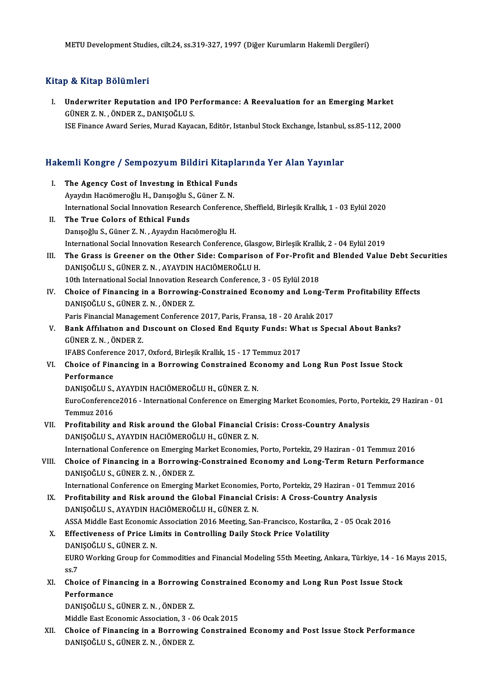### Kitap & Kitap Bölümleri

Itap & Kitap Bölümleri<br>I. Underwriter Reputation and IPO Performance: A Reevaluation for an Emerging Market<br>CÜNER Z N ÖNDER Z DANISOČLUS GÜNERZ.N., ÖNDERZ., DANIŞOĞLUS.<br>GÜNER Z.N., ÖNDER Z., DANIŞOĞLUS.<br>ISE Einance Award Series. Murad Kavas GÜNER Z. N. , ÖNDER Z., DANIŞOĞLU S.<br>ISE Finance Award Series, Murad Kayacan, Editör, Istanbul Stock Exchange, İstanbul, ss.85-112, 2000

# ise rinance Award series, murad Kayacan, edilor, islanbul slock exchange, islanbul,<br>Hakemli Kongre / Sempozyum Bildiri Kitaplarında Yer Alan Yayınlar

- akemli Kongre / Sempozyum Bildiri Kitapla<br>I. The Agency Cost of Investing in Ethical Funds<br>Avaidin Hagëmorečlu H. Danisečlu S. Güner 7 N The Agency Cost of Investing in Ethical Funds<br>Ayaydın Hacıömeroğlu H., Danışoğlu S., Güner Z.N. The Agency Cost of Investing in Ethical Funds<br>Ayaydın Hacıömeroğlu H., Danişoğlu S., Güner Z. N.<br>International Social Innovation Research Conference, Sheffield, Birleşik Krallık, 1 - 03 Eylül 2020<br>The True Colors of Ethica II. The True Colors of Ethical Funds<br>Danisoğlu S. Güner Z. N. . Avavdın Hacıömeroğlu H. International Social Innovation Research Conferenc<br>The True Colors of Ethical Funds<br>Danışoğlu S., Güner Z.N. , Ayaydın Hacıömeroğlu H.<br>International Social Innovation Bessarsk Conferenc International Social Innovation Research Conference, Glasgow, Birleşik Krallık, 2 - 04 Eylül 2019 Danışoğlu S., Güner Z. N. , Ayaydın Hacıömeroğlu H.<br>International Social Innovation Research Conference, Glasgow, Birleşik Krallık, 2 - 04 Eylül 2019<br>III. The Grass is Greener on the Other Side: Comparison of For-Profi DANIŞOĞLU S., GÜNER Z. N., AYAYDIN HACIÖMEROĞLU H. The Grass is Greener on the Other Side: Comparison of For-Profit a<br>DANIŞOĞLU S., GÜNER Z. N. , AYAYDIN HACIÖMEROĞLU H.<br>10th International Social Innovation Research Conference, 3 - 05 Eylül 2018<br>Chaise of Einanging in a Be DANIŞOĞLU S., GÜNER Z. N. , AYAYDIN HACIÖMEROĞLU H.<br>10th International Social Innovation Research Conference, 3 - 05 Eylül 2018<br>IV. Choice of Financing in a Borrowing-Constrained Economy and Long-Term Profitability Effects 10th International Social Innovation Research Conference, 3 - 05 Eylül 2018<br>Choice of Financing in a Borrowing-Constrained Economy and Long<br>DANIŞOĞLU S., GÜNER Z. N. , ÖNDER Z. Choice of Financing in a Borrowing-Constrained Economy and Long-Ter<br>DANIŞOĞLU S., GÜNER Z. N. , ÖNDER Z.<br>Paris Financial Management Conference 2017, Paris, Fransa, 18 - 20 Aralık 2017<br>Park Affiliation and Dissount on Close DANIŞOĞLU S., GÜNER Z. N. , ÖNDER Z.<br>Paris Financial Management Conference 2017, Paris, Fransa, 18 - 20 Aralık 2017<br>V. Bank Affılıatıon and Dıscount on Closed End Equity Funds: What is Special About Banks?<br>CÜNER 7 N. ÖNDER Paris Financial Management Conference 2017, Paris, Fransa, 18 - 20 Aralık 2017<br>Bank Affiliation and Discount on Closed End Equity Funds: What is Spe<br>GÜNER Z.N., ÖNDER Z.<br>IFABS Conference 2017, Oxford, Birlesik Krallık, 15 Bank Affiliation and Discount on Closed End Equity Funds: Wh.<br>GÜNER Z. N., ÖNDER Z.<br>IFABS Conference 2017, Oxford, Birleşik Krallık, 15 - 17 Temmuz 2017<br>Chaise of Einanging in a Bannawing Constrained Esanamy and GÜNER Z. N. , ÖNDER Z.<br>IFABS Conference 2017, Oxford, Birleşik Krallık, 15 - 17 Temmuz 2017<br>VI. Choice of Financing in a Borrowing Constrained Economy and Long Run Post Issue Stock<br>Perfermanes **IFABS Conference**<br>**Choice of Fina<br>Performance**<br>DANISOČI U S Choice of Financing in a Borrowing Constrained Ece<br>Performance<br>DANIŞOĞLU S., AYAYDIN HACIÖMEROĞLU H., GÜNER Z. N.<br>EuroConforence2016 - International Conforence on Emerg Performance<br>DANIŞOĞLU S., AYAYDIN HACIÖMEROĞLU H., GÜNER Z. N.<br>EuroConference2016 - International Conference on Emerging Market Economies, Porto, Portekiz, 29 Haziran - 01<br>Tammuz 2016 DANIŞOĞLU S.,<br>EuroConferenc<br>Temmuz 2016<br>Profitability s EuroConference2016 - International Conference on Emerging Market Economies, Porto, Por<br>Temmuz 2016<br>VII. Profitability and Risk around the Global Financial Crisis: Cross-Country Analysis<br>DANISOČLU S AVAVDIN HACIÔMEROČLU H. Temmuz 2016<br>Profitability and Risk around the Global Financial C<br>DANIŞOĞLU S., AYAYDIN HACIÖMEROĞLU H., GÜNER Z. N.<br>International Conference en Emerging Merket Esenemies Profitability and Risk around the Global Financial Crisis: Cross-Country Analysis<br>DANIŞOĞLU S., AYAYDIN HACIÖMEROĞLU H., GÜNER Z. N.<br>International Conference on Emerging Market Economies, Porto, Portekiz, 29 Haziran - 01 T DANIŞOĞLU S., AYAYDIN HACIÖMEROĞLU H., GÜNER Z. N.<br>International Conference on Emerging Market Economies, Porto, Portekiz, 29 Haziran - 01 Temmuz 2016<br>VIII. Choice of Financing in a Borrowing-Constrained Economy and Lo International Conference on Emerging<br>Choice of Financing in a Borrowing<br>DANIŞOĞLU S., GÜNER Z. N. , ÖNDER Z.<br>International Conference on Emerging Choice of Financing in a Borrowing-Constrained Economy and Long-Term Return Performano<br>DANIȘOĞLU S., GÜNER Z. N. , ÖNDER Z.<br>International Conference on Emerging Market Economies, Porto, Portekiz, 29 Haziran - 01 Temmuz 201 DANIŞOĞLU S., GÜNER Z. N. , ÖNDER Z.<br>International Conference on Emerging Market Economies, Porto, Portekiz, 29 Haziran - 01 Temmuz 2016<br>IX. Profitability and Risk around the Global Financial Crisis: A Cross-Country An DANIŞOĞLU S., AYAYDIN HACIÖMEROĞLU H., GÜNER Z. N. Profitability and Risk around the Global Financial Crisis: A Cross-Country Analysis<br>DANIŞOĞLU S., AYAYDIN HACIÖMEROĞLU H., GÜNER Z. N.<br>ASSA Middle East Economic Association 2016 Meeting, San-Francisco, Kostarika, 2 - 05 Oc X. Effectiveness of Price Limits in Controlling Daily Stock Price Volatility ASSA Middle East Economic<br>Effectiveness of Price Lin<br>DANIŞOĞLU S., GÜNER Z. N.<br>EURO Working Croup for Co EURO Working Group for Commodities and Financial Modeling 55th Meeting, Ankara, Türkiye, 14 - 16 Mayıs 2015, ss.7 DANIŞOĞLU S., GÜNER Z. N. EURO Working Group for Commodities and Financial Modeling 55th Meeting, Ankara, Türkiye, 14 - 16<br>ss.7<br>XI. Choice of Financing in a Borrowing Constrained Economy and Long Run Post Issue Stock<br>Porformance ss.7<br>Choice of Fine<br>Performance<br>DANISOČLUS Choice of Financing in a Borrowing<br>Performance<br>DANIŞOĞLU S., GÜNER Z.N. , ÖNDER Z.<br>Middle Fest Feenemis Association 3 – 0 Performance<br>DANIŞOĞLU S., GÜNER Z. N. , ÖNDER Z.<br>Middle East Economic Association, 3 - 06 Ocak 2015 DANIŞOĞLU S., GÜNER Z. N. , ÖNDER Z.<br>Middle East Economic Association, 3 - 06 Ocak 2015<br>XII. Choice of Financing in a Borrowing Constrained Economy and Post Issue Stock Performance<br>DANISOČLU S. CÜNER Z. N. ÖNDER Z.
- Middle East Economic Association, 3 (<br>Choice of Financing in a Borrowin<br>DANIŞOĞLU S., GÜNER Z. N. , ÖNDER Z.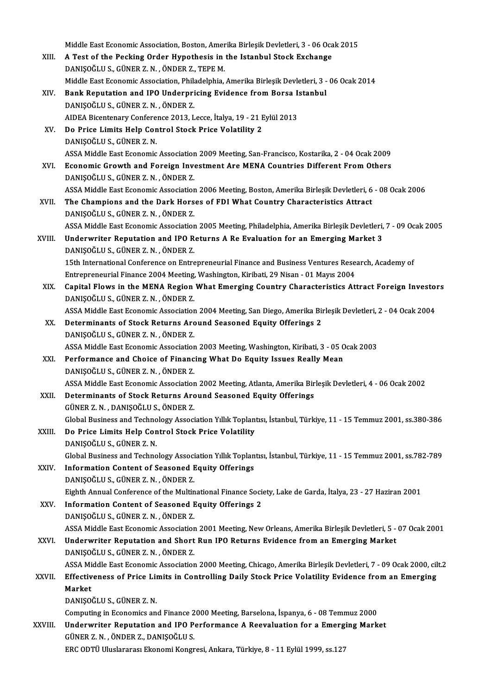Middle East Economic Association, Boston, Amerika Birleşik Devletleri, 3 - 06 Ocak 2015<br>A Test of the Besking Order Hunothesis in the Istanbul Stesk Evshange Middle East Economic Association, Boston, Amerika Birleşik Devletleri, 3 - 06 Oca<br>XIII. A Test of the Pecking Order Hypothesis in the Istanbul Stock Exchange Middle East Economic Association, Boston, Amer<br>A Test of the Pecking Order Hypothesis in<br>DANIŞOĞLU S., GÜNER Z. N. , ÖNDER Z., TEPE M.<br>Middle Fest Fennemis Association, Philodelphia A Test of the Pecking Order Hypothesis in the Istanbul Stock Exchange<br>DANIŞOĞLU S., GÜNER Z. N. , ÖNDER Z., TEPE M.<br>Middle East Economic Association, Philadelphia, Amerika Birleşik Devletleri, 3 - 06 Ocak 2014 DANIŞOĞLU S., GÜNER Z. N. , ÖNDER Z., TEPE M.<br>Middle East Economic Association, Philadelphia, Amerika Birleşik Devletleri, 3 -<br>XIV. Bank Reputation and IPO Underpricing Evidence from Borsa Istanbul<br>DANISOĞLU S. CÜNER Z. N. DANIŞOĞLUS.,GÜNERZ.N. ,ÖNDERZ. Bank Reputation and IPO Underpricing Evidence from Borsa I:<br>DANIŞOĞLU S., GÜNER Z. N. , ÖNDER Z.<br>AIDEA Bicentenary Conference 2013, Lecce, İtalya, 19 - 21 Eylül 2013<br>De Prise Limits Help Control Stack Prise Volatility 2 DANIȘOĞLU S., GÜNER Z. N. , ÖNDER Z.<br>AIDEA Bicentenary Conference 2013, Lecce, İtalya, 19 - 21 E<br>XV. Do Price Limits Help Control Stock Price Volatility 2 AIDEA Bicentenary Confere<br>Do Price Limits Help Con<br>DANIŞOĞLU S., GÜNER Z. N.<br>ASSA Middle Fest Feonomis Do Price Limits Help Control Stock Price Volatility 2<br>DANIŞOĞLU S., GÜNER Z. N.<br>ASSA Middle East Economic Association 2009 Meeting, San-Francisco, Kostarika, 2 - 04 Ocak 2009<br>Feonomic Crowth and Foreign Investment Are MENA DANIŞOĞLU S., GÜNER Z. N.<br>ASSA Middle East Economic Association 2009 Meeting, San-Francisco, Kostarika, 2 - 04 Ocak 2009<br>XVI. Economic Growth and Foreign Investment Are MENA Countries Different From Others<br>DANISOČLU S. ASSA Middle East Economic Association<br>Economic Growth and Foreign Inve<br>DANIŞOĞLU S., GÜNER Z. N. , ÖNDER Z.<br>ASSA Middle Fast Esenomis Association Economic Growth and Foreign Investment Are MENA Countries Different From Others<br>DANIŞOĞLU S., GÜNER Z. N. , ÖNDER Z.<br>ASSA Middle East Economic Association 2006 Meeting, Boston, Amerika Birleşik Devletleri, 6 - 08 Ocak 2006 DANIŞOĞLU S., GÜNER Z. N. , ÖNDER Z.<br>ASSA Middle East Economic Association 2006 Meeting, Boston, Amerika Birleşik Devletleri, 6<br>XVII. The Champions and the Dark Horses of FDI What Country Characteristics Attract ASSA Middle East Economic Association<br>The Champions and the Dark Hors<br>DANIŞOĞLU S., GÜNER Z. N. , ÖNDER Z.<br>ASSA Middle Fast Feenomis Association The Champions and the Dark Horses of FDI What Country Characteristics Attract<br>DANIŞOĞLU S., GÜNER Z. N. , ÖNDER Z.<br>ASSA Middle East Economic Association 2005 Meeting, Philadelphia, Amerika Birleşik Devletleri, 7 - 09 Ocak DANIŞOĞLU S., GÜNER Z. N. , ÖNDER Z.<br>ASSA Middle East Economic Association 2005 Meeting, Philadelphia, Amerika Birleşik Devletleri,<br>XVIII. Underwriter Reputation and IPO Returns A Re Evaluation for an Emerging Market 3 ASSA Middle East Economic Association<br>Underwriter Reputation and IPO R<br>DANIŞOĞLU S., GÜNER Z. N. , ÖNDER Z.<br>15th International Conference on Entre Underwriter Reputation and IPO Returns A Re Evaluation for an Emerging Market 3<br>DANIŞOĞLU S., GÜNER Z. N. , ÖNDER Z.<br>15th International Conference on Entrepreneurial Finance and Business Ventures Research, Academy of DANIŞOĞLU S., GÜNER Z. N. , ÖNDER Z.<br>15th International Conference on Entrepreneurial Finance and Business Ventures Rese.<br>Entrepreneurial Finance 2004 Meeting, Washington, Kiribati, 29 Nisan - 01 Mayıs 2004<br>Conital Flows i XIX. Capital Flows in the MENA Region What Emerging Country Characteristics Attract Foreign Investors<br>DANISOĞLU S., GÜNER Z. N., ÖNDER Z. Entrepreneurial Finance 2004 Meeting,<br>Capital Flows in the MENA Region<br>DANIŞOĞLU S., GÜNER Z. N. , ÖNDER Z.<br>ASSA Middle Fast Fsenemis Association Capital Flows in the MENA Region What Emerging Country Characteristics Attract Foreign Investor<br>DANIŞOĞLU S., GÜNER Z. N. , ÖNDER Z.<br>ASSA Middle East Economic Association 2004 Meeting, San Diego, Amerika Birleşik Devletler DANIŞOĞLU S., GÜNER Z. N. , ÖNDER Z.<br>ASSA Middle East Economic Association 2004 Meeting, San Diego, Amerika Bir<br>XX. Determinants of Stock Returns Around Seasoned Equity Offerings 2 ASSA Middle East Economic Association<br>Determinants of Stock Returns Arc<br>DANIŞOĞLU S., GÜNER Z. N. , ÖNDER Z.<br>ASSA Middle Fast Esenemis Association Determinants of Stock Returns Around Seasoned Equity Offerings 2<br>DANIŞOĞLU S., GÜNER Z. N. , ÖNDER Z.<br>ASSA Middle East Economic Association 2003 Meeting, Washington, Kiribati, 3 - 05 Ocak 2003<br>Performance and Choise of Ein DANIŞOĞLU S., GÜNER Z. N. , ÖNDER Z.<br>ASSA Middle East Economic Association 2003 Meeting, Washington, Kiribati, 3 - 05 C<br>XXI. Performance and Choice of Financing What Do Equity Issues Really Mean ASSA Middle East Economic Association<br>Performance and Choice of Financ<br>DANIŞOĞLU S., GÜNER Z. N. , ÖNDER Z.<br>ASSA Middle Fast Esenomis Association Performance and Choice of Financing What Do Equity Issues Really Mean<br>DANIŞOĞLU S., GÜNER Z. N. , ÖNDER Z.<br>ASSA Middle East Economic Association 2002 Meeting, Atlanta, Amerika Birleşik Devletleri, 4 - 06 Ocak 2002<br>Determin DANIŞOĞLU S., GÜNER Z. N. , ÖNDER Z.<br>ASSA Middle East Economic Association 2002 Meeting, Atlanta, Amerika Bir<br>XXII. Determinants of Stock Returns Around Seasoned Equity Offerings<br>CÜNER Z.N., DANISOĞLU S. ÖNDER Z. ASSA Middle East Economic Association<br>Determinants of Stock Returns Arc<br>GÜNER Z. N. , DANIŞOĞLU S., ÖNDER Z.<br>Clabel Business and Technology Associ Determinants of Stock Returns Around Seasoned Equity Offerings<br>GÜNER Z. N. , DANIŞOĞLU S., ÖNDER Z.<br>Global Business and Technology Association Yıllık Toplantısı, İstanbul, Türkiye, 11 - 15 Temmuz 2001, ss.380-386<br>De Prise GÜNER Z. N. , DANIŞOĞLU S., ÖNDER Z.<br>Global Business and Technology Association Yıllık Toplan<br>XXIII. Do Price Limits Help Control Stock Price Volatility<br>DANISOĞLU S. GÜNER Z. N Global Business and Techno<br>Do Price Limits Help Con<br>DANIŞOĞLU S., GÜNER Z. N.<br>Clobal Business and Techno Do Price Limits Help Control Stock Price Volatility<br>DANIŞOĞLU S., GÜNER Z. N.<br>Global Business and Technology Association Yıllık Toplantısı, İstanbul, Türkiye, 11 - 15 Temmuz 2001, ss.782-789 DANIŞOĞLU S., GÜNER Z. N.<br>Global Business and Technology Association Yıllık Toplan<br>XXIV. Information Content of Seasoned Equity Offerings Global Business and Technology Associ<br>Information Content of Seasoned I<br>DANIŞOĞLU S., GÜNER Z. N. , ÖNDER Z.<br>Fighth Annual Conforence of the Multin Information Content of Seasoned Equity Offerings<br>DANIŞOĞLU S., GÜNER Z. N. , ÖNDER Z.<br>Eighth Annual Conference of the Multinational Finance Society, Lake de Garda, İtalya, 23 - 27 Haziran 2001<br>Information Content of Season DANIŞOĞLU S., GÜNER Z. N. , ÖNDER Z.<br>Eighth Annual Conference of the Multinational Finance Socie<br>XXV. Information Content of Seasoned Equity Offerings 2 Eighth Annual Conference of the Multin<br>Information Content of Seasoned I<br>DANIŞOĞLU S., GÜNER Z. N. , ÖNDER Z.<br>ASSA Middle Fest Feenemis Association I<mark>nformation Content of Seasoned Equity Offerings 2</mark><br>DANIŞOĞLU S., GÜNER Z. N. , ÖNDER Z.<br>ASSA Middle East Economic Association 2001 Meeting, New Orleans, Amerika Birleşik Devletleri, 5 - 07 Ocak 2001<br>Underwriter Benutatio DANIŞOĞLU S., GÜNER Z. N. , ÖNDER Z.<br>ASSA Middle East Economic Association 2001 Meeting, New Orleans, Amerika Birleşik Devletleri, 5 -<br>XXVI. Underwriter Reputation and Short Run IPO Returns Evidence from an Emerging Market ASSA Middle East Economic Association<br>Underwriter Reputation and Short<br>DANIŞOĞLU S., GÜNER Z. N. , ÖNDER Z.<br>ASSA Middle Fast Esenomis Association Underwriter Reputation and Short Run IPO Returns Evidence from an Emerging Market<br>DANIŞOĞLU S., GÜNER Z. N. , ÖNDER Z.<br>ASSA Middle East Economic Association 2000 Meeting, Chicago, Amerika Birleşik Devletleri, 7 - 09 Ocak 2 DANIŞOĞLU S., GÜNER Z. N. , ÖNDER Z.<br>ASSA Middle East Economic Association 2000 Meeting, Chicago, Amerika Birleşik Devletleri, 7 - 09 Ocak 2000, cil<br>XXVII. Effectiveness of Price Limits in Controlling Daily Stock Price ASSA Mi<br><mark>Effectiv</mark><br>Market<br>DANISO DANIŞOĞLUS.,GÜNERZ.N. Market<br>DANIŞOĞLU S., GÜNER Z. N.<br>Computing in Economics and Finance 2000 Meeting, Barselona, İspanya, 6 - 08 Temmuz 2000<br>Underwriter Benutation and JPO Berformanea A Besveluation for a Emerging Mark DANIŞOĞLU S., GÜNER Z. N.<br>Computing in Economics and Finance 2000 Meeting, Barselona, İspanya, 6 - 08 Temmuz 2000<br>XXVIII. Underwriter Reputation and IPO Performance A Reevaluation for a Emerging Market<br>CÜNER Z. N. ÖNDER Z. Computing in Economics and Finance 2<br>Underwriter Reputation and IPO P<br>GÜNER Z.N., ÖNDER Z., DANIŞOĞLUS.<br>EPC ODTÜ Uluslarares: Ekanomi Kongr Underwriter Reputation and IPO Performance A Reevaluation for a Emerging Market<br>GÜNER Z. N. , ÖNDER Z., DANIŞOĞLU S.<br>ERC ODTÜ Uluslararası Ekonomi Kongresi, Ankara, Türkiye, 8 - 11 Eylül 1999, ss.127